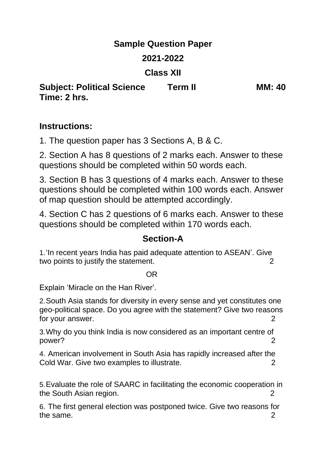## **Sample Question Paper**

## **2021-2022**

## **Class XII**

**Subject: Political Science Term II MM: 40 Time: 2 hrs.**

# **Instructions:**

1. The question paper has 3 Sections A, B & C.

2. Section A has 8 questions of 2 marks each. Answer to these questions should be completed within 50 words each.

3. Section B has 3 questions of 4 marks each. Answer to these questions should be completed within 100 words each. Answer of map question should be attempted accordingly.

4. Section C has 2 questions of 6 marks each. Answer to these questions should be completed within 170 words each.

## **Section-A**

1.'In recent years India has paid adequate attention to ASEAN'. Give two points to justify the statement. 2

#### OR

Explain 'Miracle on the Han River'.

2.South Asia stands for diversity in every sense and yet constitutes one geo-political space. Do you agree with the statement? Give two reasons for your answer. 2

3.Why do you think India is now considered as an important centre of power? 2

4. American involvement in South Asia has rapidly increased after the Cold War. Give two examples to illustrate.  $2$ 

5.Evaluate the role of SAARC in facilitating the economic cooperation in the South Asian region. 2

6. The first general election was postponed twice. Give two reasons for the same. 2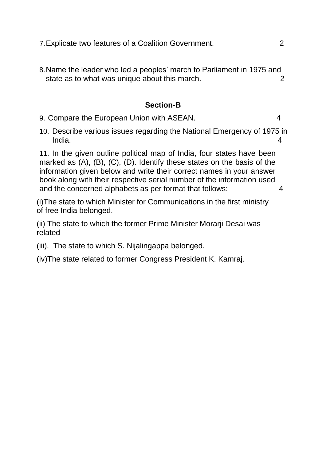8.Name the leader who led a peoples' march to Parliament in 1975 and state as to what was unique about this march. The state as to what was unique about this march.

#### **Section-B**

- 9. Compare the European Union with ASEAN. 4
- 10. Describe various issues regarding the National Emergency of 1975 in India. 4

11. In the given outline political map of India, four states have been marked as (A), (B), (C), (D). Identify these states on the basis of the information given below and write their correct names in your answer book along with their respective serial number of the information used and the concerned alphabets as per format that follows: 4

(i)The state to which Minister for Communications in the first ministry of free India belonged.

(ii) The state to which the former Prime Minister Morarji Desai was related

(iii). The state to which S. Nijalingappa belonged.

(iv)The state related to former Congress President K. Kamraj.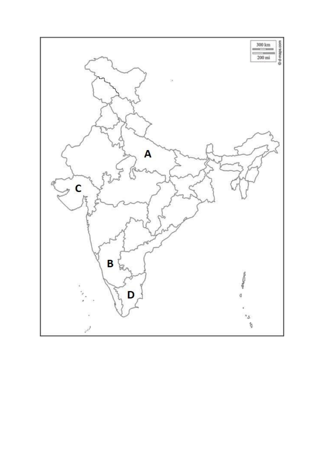